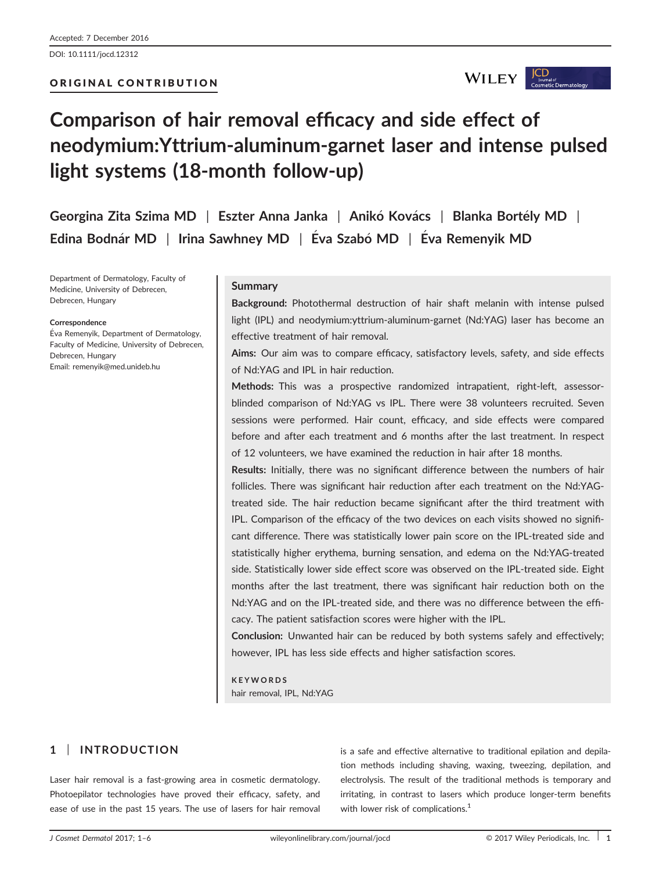DOI: 10.1111/jocd.12312

## ORIGINAL CONTRIBUTION

# $WILEY$   $\frac{\int_{\text{bounded}}}{\text{Cosmetric}}$

# Comparison of hair removal efficacy and side effect of neodymium:Yttrium-aluminum-garnet laser and intense pulsed light systems (18-month follow-up)

Georgina Zita Szima MD | Eszter Anna Janka | Anikó Kovács | Blanka Bortély MD | Edina Bodnár MD | Irina Sawhney MD | Éva Szabó MD | Éva Remenyik MD

Department of Dermatology, Faculty of Medicine, University of Debrecen, Debrecen, Hungary

#### Correspondence

Eva Remenyik, Department of Dermatology, Faculty of Medicine, University of Debrecen, Debrecen, Hungary Email: remenyik@med.unideb.hu

#### Summary

Background: Photothermal destruction of hair shaft melanin with intense pulsed light (IPL) and neodymium:yttrium-aluminum-garnet (Nd:YAG) laser has become an effective treatment of hair removal.

Aims: Our aim was to compare efficacy, satisfactory levels, safety, and side effects of Nd:YAG and IPL in hair reduction.

Methods: This was a prospective randomized intrapatient, right-left, assessorblinded comparison of Nd:YAG vs IPL. There were 38 volunteers recruited. Seven sessions were performed. Hair count, efficacy, and side effects were compared before and after each treatment and 6 months after the last treatment. In respect of 12 volunteers, we have examined the reduction in hair after 18 months.

Results: Initially, there was no significant difference between the numbers of hair follicles. There was significant hair reduction after each treatment on the Nd:YAGtreated side. The hair reduction became significant after the third treatment with IPL. Comparison of the efficacy of the two devices on each visits showed no significant difference. There was statistically lower pain score on the IPL-treated side and statistically higher erythema, burning sensation, and edema on the Nd:YAG-treated side. Statistically lower side effect score was observed on the IPL-treated side. Eight months after the last treatment, there was significant hair reduction both on the Nd:YAG and on the IPL-treated side, and there was no difference between the efficacy. The patient satisfaction scores were higher with the IPL.

Conclusion: Unwanted hair can be reduced by both systems safely and effectively; however, IPL has less side effects and higher satisfaction scores.

**KEYWORDS** hair removal, IPL, Nd:YAG

## 1 | INTRODUCTION

Laser hair removal is a fast-growing area in cosmetic dermatology. Photoepilator technologies have proved their efficacy, safety, and ease of use in the past 15 years. The use of lasers for hair removal is a safe and effective alternative to traditional epilation and depilation methods including shaving, waxing, tweezing, depilation, and electrolysis. The result of the traditional methods is temporary and irritating, in contrast to lasers which produce longer-term benefits with lower risk of complications.<sup>1</sup>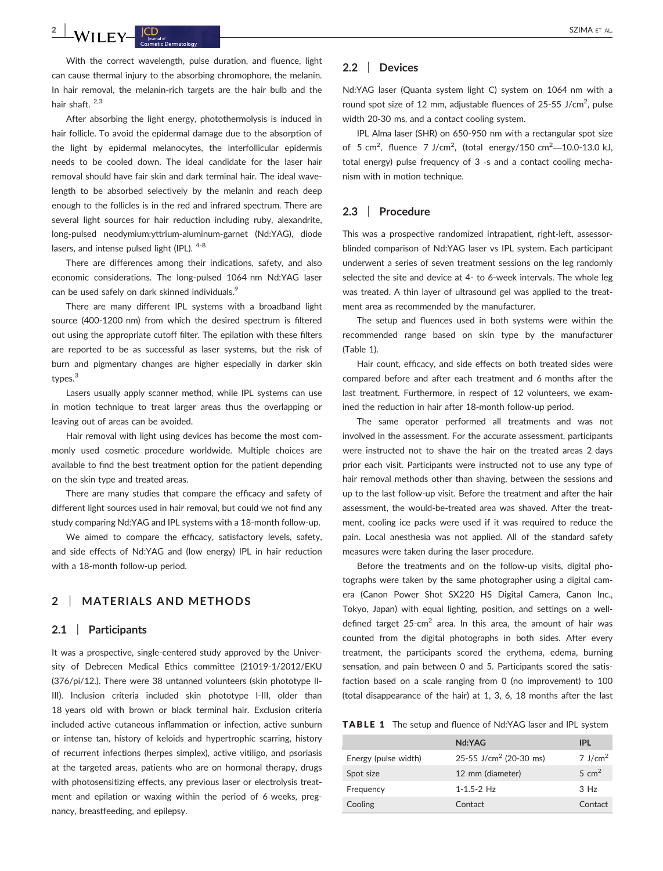$\frac{2}{2}$   $\frac{1}{2}$   $\frac{1}{2}$   $\frac{1}{2}$   $\frac{1}{2}$   $\frac{1}{2}$   $\frac{1}{2}$   $\frac{1}{2}$   $\frac{1}{2}$   $\frac{1}{2}$   $\frac{1}{2}$   $\frac{1}{2}$   $\frac{1}{2}$   $\frac{1}{2}$   $\frac{1}{2}$   $\frac{1}{2}$   $\frac{1}{2}$   $\frac{1}{2}$   $\frac{1}{2}$   $\frac{1}{2}$   $\frac{1}{2}$   $\frac{1}{2}$ 

With the correct wavelength, pulse duration, and fluence, light can cause thermal injury to the absorbing chromophore, the melanin. In hair removal, the melanin-rich targets are the hair bulb and the hair shaft. 2,3

After absorbing the light energy, photothermolysis is induced in hair follicle. To avoid the epidermal damage due to the absorption of the light by epidermal melanocytes, the interfollicular epidermis needs to be cooled down. The ideal candidate for the laser hair removal should have fair skin and dark terminal hair. The ideal wavelength to be absorbed selectively by the melanin and reach deep enough to the follicles is in the red and infrared spectrum. There are several light sources for hair reduction including ruby, alexandrite, long-pulsed neodymium:yttrium-aluminum-garnet (Nd:YAG), diode lasers, and intense pulsed light (IPL). <sup>4-8</sup>

There are differences among their indications, safety, and also economic considerations. The long-pulsed 1064 nm Nd:YAG laser can be used safely on dark skinned individuals.<sup>9</sup>

There are many different IPL systems with a broadband light source (400-1200 nm) from which the desired spectrum is filtered out using the appropriate cutoff filter. The epilation with these filters are reported to be as successful as laser systems, but the risk of burn and pigmentary changes are higher especially in darker skin types.3

Lasers usually apply scanner method, while IPL systems can use in motion technique to treat larger areas thus the overlapping or leaving out of areas can be avoided.

Hair removal with light using devices has become the most commonly used cosmetic procedure worldwide. Multiple choices are available to find the best treatment option for the patient depending on the skin type and treated areas.

There are many studies that compare the efficacy and safety of different light sources used in hair removal, but could we not find any study comparing Nd:YAG and IPL systems with a 18-month follow-up.

We aimed to compare the efficacy, satisfactory levels, safety, and side effects of Nd:YAG and (low energy) IPL in hair reduction with a 18-month follow-up period.

### 2 | MATERIALS AND METHODS

### 2.1 | Participants

It was a prospective, single-centered study approved by the University of Debrecen Medical Ethics committee (21019-1/2012/EKU (376/pi/12.). There were 38 untanned volunteers (skin phototype II-III). Inclusion criteria included skin phototype I-III, older than 18 years old with brown or black terminal hair. Exclusion criteria included active cutaneous inflammation or infection, active sunburn or intense tan, history of keloids and hypertrophic scarring, history of recurrent infections (herpes simplex), active vitiligo, and psoriasis at the targeted areas, patients who are on hormonal therapy, drugs with photosensitizing effects, any previous laser or electrolysis treatment and epilation or waxing within the period of 6 weeks, pregnancy, breastfeeding, and epilepsy.

#### 2.2 | Devices

Nd:YAG laser (Quanta system light C) system on 1064 nm with a round spot size of 12 mm, adjustable fluences of 25-55 J/cm<sup>2</sup>, pulse width 20-30 ms, and a contact cooling system.

IPL Alma laser (SHR) on 650-950 nm with a rectangular spot size of 5 cm<sup>2</sup>, fluence 7 J/cm<sup>2</sup>, (total energy/150 cm<sup>2</sup>-10.0-13.0 kJ, total energy) pulse frequency of 3 -s and a contact cooling mechanism with in motion technique.

### 2.3 | Procedure

This was a prospective randomized intrapatient, right-left, assessorblinded comparison of Nd:YAG laser vs IPL system. Each participant underwent a series of seven treatment sessions on the leg randomly selected the site and device at 4- to 6-week intervals. The whole leg was treated. A thin layer of ultrasound gel was applied to the treatment area as recommended by the manufacturer.

The setup and fluences used in both systems were within the recommended range based on skin type by the manufacturer (Table 1).

Hair count, efficacy, and side effects on both treated sides were compared before and after each treatment and 6 months after the last treatment. Furthermore, in respect of 12 volunteers, we examined the reduction in hair after 18-month follow-up period.

The same operator performed all treatments and was not involved in the assessment. For the accurate assessment, participants were instructed not to shave the hair on the treated areas 2 days prior each visit. Participants were instructed not to use any type of hair removal methods other than shaving, between the sessions and up to the last follow-up visit. Before the treatment and after the hair assessment, the would-be-treated area was shaved. After the treatment, cooling ice packs were used if it was required to reduce the pain. Local anesthesia was not applied. All of the standard safety measures were taken during the laser procedure.

Before the treatments and on the follow-up visits, digital photographs were taken by the same photographer using a digital camera (Canon Power Shot SX220 HS Digital Camera, Canon Inc., Tokyo, Japan) with equal lighting, position, and settings on a welldefined target  $25$ -cm<sup>2</sup> area. In this area, the amount of hair was counted from the digital photographs in both sides. After every treatment, the participants scored the erythema, edema, burning sensation, and pain between 0 and 5. Participants scored the satisfaction based on a scale ranging from 0 (no improvement) to 100 (total disappearance of the hair) at 1, 3, 6, 18 months after the last

TABLE 1 The setup and fluence of Nd:YAG laser and IPL system

|                      | Nd:YAG                             | IPL                   |
|----------------------|------------------------------------|-----------------------|
| Energy (pulse width) | 25-55 J/cm <sup>2</sup> (20-30 ms) | $7$ J/cm <sup>2</sup> |
| Spot size            | 12 mm (diameter)                   | $5 \text{ cm}^2$      |
| Frequency            | $1 - 1.5 - 2$ Hz                   | 3 Hz                  |
| Cooling              | Contact                            | Contact               |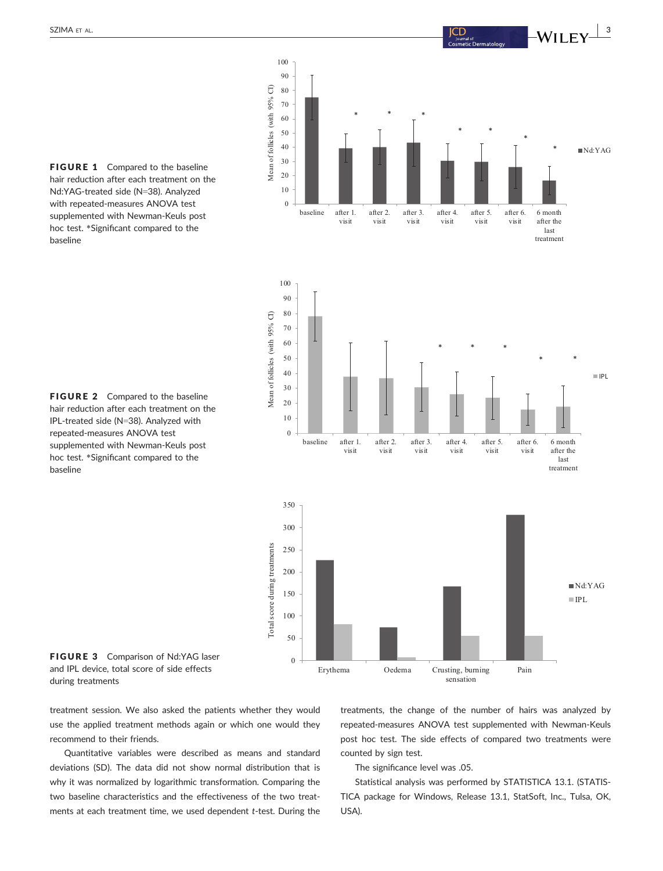FIGURE 1 Compared to the baseline hair reduction after each treatment on the Nd:YAG-treated side (N=38). Analyzed with repeated-measures ANOVA test supplemented with Newman-Keuls post hoc test. \*Significant compared to the baseline

FIGURE 2 Compared to the baseline hair reduction after each treatment on the IPL-treated side (N=38). Analyzed with repeated-measures ANOVA test supplemented with Newman-Keuls post hoc test. \*Significant compared to the baseline



FIGURE 3 Comparison of Nd:YAG laser and IPL device, total score of side effects during treatments

treatment session. We also asked the patients whether they would use the applied treatment methods again or which one would they recommend to their friends.

Quantitative variables were described as means and standard deviations (SD). The data did not show normal distribution that is why it was normalized by logarithmic transformation. Comparing the two baseline characteristics and the effectiveness of the two treatments at each treatment time, we used dependent t-test. During the treatments, the change of the number of hairs was analyzed by repeated-measures ANOVA test supplemented with Newman-Keuls post hoc test. The side effects of compared two treatments were counted by sign test.

The significance level was .05.

Statistical analysis was performed by STATISTICA 13.1. (STATIS-TICA package for Windows, Release 13.1, StatSoft, Inc., Tulsa, OK, USA).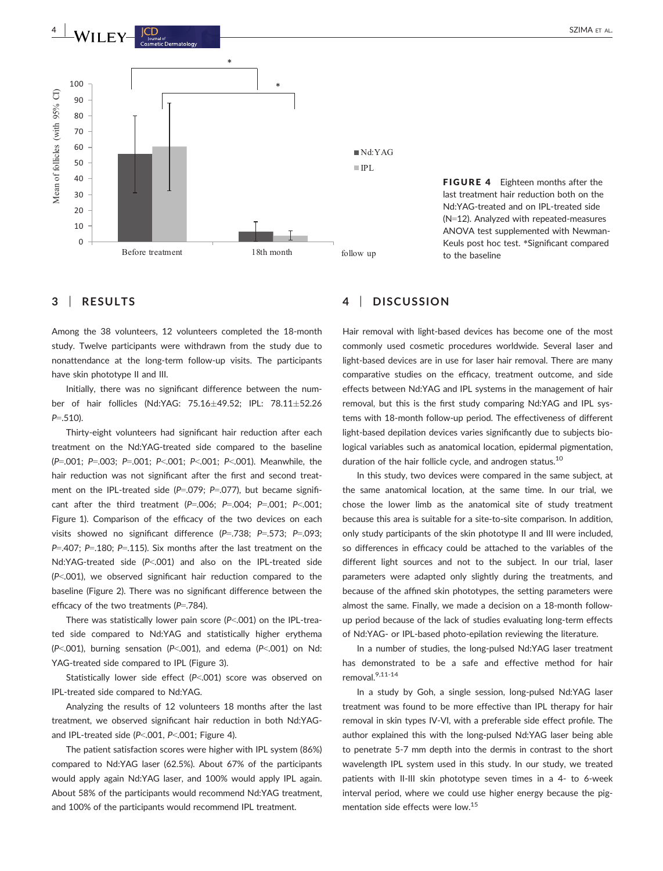



#### 3 | RESULTS

Among the 38 volunteers, 12 volunteers completed the 18-month study. Twelve participants were withdrawn from the study due to nonattendance at the long-term follow-up visits. The participants have skin phototype II and III.

Initially, there was no significant difference between the number of hair follicles (Nd:YAG:  $75.16 \pm 49.52$ : IPL:  $78.11 \pm 52.26$  $P = .510$ 

Thirty-eight volunteers had significant hair reduction after each treatment on the Nd:YAG-treated side compared to the baseline (P=.001; P=.003; P=.001; P<.001; P<.001; P<.001). Meanwhile, the hair reduction was not significant after the first and second treatment on the IPL-treated side ( $P=.079$ ;  $P=.077$ ), but became significant after the third treatment ( $P=.006$ ;  $P=.004$ ;  $P=.001$ ;  $P<.001$ ; Figure 1). Comparison of the efficacy of the two devices on each visits showed no significant difference (P=.738; P=.573; P=.093; P=.407; P=.180; P=.115). Six months after the last treatment on the Nd:YAG-treated side (P<.001) and also on the IPL-treated side (P<.001), we observed significant hair reduction compared to the baseline (Figure 2). There was no significant difference between the efficacy of the two treatments ( $P = .784$ ).

There was statistically lower pain score (P<.001) on the IPL-treated side compared to Nd:YAG and statistically higher erythema (P<.001), burning sensation (P<.001), and edema (P<.001) on Nd: YAG-treated side compared to IPL (Figure 3).

Statistically lower side effect (P<.001) score was observed on IPL-treated side compared to Nd:YAG.

Analyzing the results of 12 volunteers 18 months after the last treatment, we observed significant hair reduction in both Nd:YAGand IPL-treated side (P<.001, P<.001; Figure 4).

The patient satisfaction scores were higher with IPL system (86%) compared to Nd:YAG laser (62.5%). About 67% of the participants would apply again Nd:YAG laser, and 100% would apply IPL again. About 58% of the participants would recommend Nd:YAG treatment, and 100% of the participants would recommend IPL treatment.

FIGURE 4 Eighteen months after the last treatment hair reduction both on the Nd:YAG-treated and on IPL-treated side (N=12). Analyzed with repeated-measures ANOVA test supplemented with Newman-Keuls post hoc test. \*Significant compared to the baseline

#### 4 | DISCUSSION

Hair removal with light-based devices has become one of the most commonly used cosmetic procedures worldwide. Several laser and light-based devices are in use for laser hair removal. There are many comparative studies on the efficacy, treatment outcome, and side effects between Nd:YAG and IPL systems in the management of hair removal, but this is the first study comparing Nd:YAG and IPL systems with 18-month follow-up period. The effectiveness of different light-based depilation devices varies significantly due to subjects biological variables such as anatomical location, epidermal pigmentation, duration of the hair follicle cycle, and androgen status.<sup>10</sup>

In this study, two devices were compared in the same subject, at the same anatomical location, at the same time. In our trial, we chose the lower limb as the anatomical site of study treatment because this area is suitable for a site-to-site comparison. In addition, only study participants of the skin phototype II and III were included, so differences in efficacy could be attached to the variables of the different light sources and not to the subject. In our trial, laser parameters were adapted only slightly during the treatments, and because of the affined skin phototypes, the setting parameters were almost the same. Finally, we made a decision on a 18-month followup period because of the lack of studies evaluating long-term effects of Nd:YAG- or IPL-based photo-epilation reviewing the literature.

In a number of studies, the long-pulsed Nd:YAG laser treatment has demonstrated to be a safe and effective method for hair removal.9,11-14

In a study by Goh, a single session, long-pulsed Nd:YAG laser treatment was found to be more effective than IPL therapy for hair removal in skin types IV-VI, with a preferable side effect profile. The author explained this with the long-pulsed Nd:YAG laser being able to penetrate 5-7 mm depth into the dermis in contrast to the short wavelength IPL system used in this study. In our study, we treated patients with II-III skin phototype seven times in a 4- to 6-week interval period, where we could use higher energy because the pigmentation side effects were low.15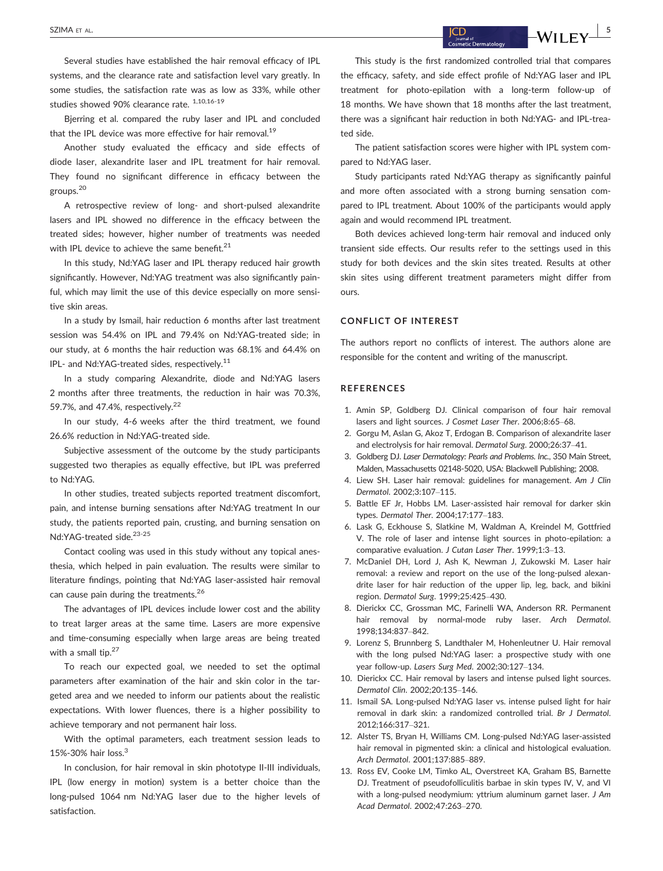Several studies have established the hair removal efficacy of IPL systems, and the clearance rate and satisfaction level vary greatly. In some studies, the satisfaction rate was as low as 33%, while other studies showed 90% clearance rate. 1,10,16-19

Bjerring et al. compared the ruby laser and IPL and concluded that the IPL device was more effective for hair removal.<sup>19</sup>

Another study evaluated the efficacy and side effects of diode laser, alexandrite laser and IPL treatment for hair removal. They found no significant difference in efficacy between the groups.<sup>20</sup>

A retrospective review of long- and short-pulsed alexandrite lasers and IPL showed no difference in the efficacy between the treated sides; however, higher number of treatments was needed with IPL device to achieve the same benefit.<sup>21</sup>

In this study, Nd:YAG laser and IPL therapy reduced hair growth significantly. However, Nd:YAG treatment was also significantly painful, which may limit the use of this device especially on more sensitive skin areas.

In a study by Ismail, hair reduction 6 months after last treatment session was 54.4% on IPL and 79.4% on Nd:YAG-treated side; in our study, at 6 months the hair reduction was 68.1% and 64.4% on IPL- and Nd:YAG-treated sides, respectively.<sup>11</sup>

In a study comparing Alexandrite, diode and Nd:YAG lasers 2 months after three treatments, the reduction in hair was 70.3%, 59.7%, and 47.4%, respectively.<sup>22</sup>

In our study, 4-6 weeks after the third treatment, we found 26.6% reduction in Nd:YAG-treated side.

Subjective assessment of the outcome by the study participants suggested two therapies as equally effective, but IPL was preferred to Nd:YAG.

In other studies, treated subjects reported treatment discomfort, pain, and intense burning sensations after Nd:YAG treatment In our study, the patients reported pain, crusting, and burning sensation on Nd:YAG-treated side.<sup>23-25</sup>

Contact cooling was used in this study without any topical anesthesia, which helped in pain evaluation. The results were similar to literature findings, pointing that Nd:YAG laser-assisted hair removal can cause pain during the treatments.<sup>26</sup>

The advantages of IPL devices include lower cost and the ability to treat larger areas at the same time. Lasers are more expensive and time-consuming especially when large areas are being treated with a small tip.<sup>27</sup>

To reach our expected goal, we needed to set the optimal parameters after examination of the hair and skin color in the targeted area and we needed to inform our patients about the realistic expectations. With lower fluences, there is a higher possibility to achieve temporary and not permanent hair loss.

With the optimal parameters, each treatment session leads to 15%-30% hair loss.<sup>3</sup>

In conclusion, for hair removal in skin phototype II-III individuals, IPL (low energy in motion) system is a better choice than the long-pulsed 1064 nm Nd:YAG laser due to the higher levels of satisfaction.

This study is the first randomized controlled trial that compares the efficacy, safety, and side effect profile of Nd:YAG laser and IPL treatment for photo-epilation with a long-term follow-up of 18 months. We have shown that 18 months after the last treatment, there was a significant hair reduction in both Nd:YAG- and IPL-treated side.

The patient satisfaction scores were higher with IPL system compared to Nd:YAG laser.

Study participants rated Nd:YAG therapy as significantly painful and more often associated with a strong burning sensation compared to IPL treatment. About 100% of the participants would apply again and would recommend IPL treatment.

Both devices achieved long-term hair removal and induced only transient side effects. Our results refer to the settings used in this study for both devices and the skin sites treated. Results at other skin sites using different treatment parameters might differ from ours.

#### CONFLICT OF INTEREST

The authors report no conflicts of interest. The authors alone are responsible for the content and writing of the manuscript.

#### REFERENCES

- 1. Amin SP, Goldberg DJ. Clinical comparison of four hair removal lasers and light sources. J Cosmet Laser Ther. 2006;8:65–68.
- 2. Gorgu M, Aslan G, Akoz T, Erdogan B. Comparison of alexandrite laser and electrolysis for hair removal. Dermatol Surg. 2000;26:37–41.
- 3. Goldberg DJ. Laser Dermatology: Pearls and Problems. Inc., 350 Main Street, Malden, Massachusetts 02148-5020, USA: Blackwell Publishing; 2008.
- 4. Liew SH. Laser hair removal: guidelines for management. Am J Clin Dermatol. 2002;3:107–115.
- 5. Battle EF Jr, Hobbs LM. Laser-assisted hair removal for darker skin types. Dermatol Ther. 2004;17:177–183.
- 6. Lask G, Eckhouse S, Slatkine M, Waldman A, Kreindel M, Gottfried V. The role of laser and intense light sources in photo-epilation: a comparative evaluation. J Cutan Laser Ther. 1999;1:3–13.
- 7. McDaniel DH, Lord J, Ash K, Newman J, Zukowski M. Laser hair removal: a review and report on the use of the long-pulsed alexandrite laser for hair reduction of the upper lip, leg, back, and bikini region. Dermatol Surg. 1999;25:425–430.
- 8. Dierickx CC, Grossman MC, Farinelli WA, Anderson RR. Permanent hair removal by normal-mode ruby laser. Arch Dermatol. 1998;134:837–842.
- 9. Lorenz S, Brunnberg S, Landthaler M, Hohenleutner U. Hair removal with the long pulsed Nd:YAG laser: a prospective study with one year follow-up. Lasers Surg Med. 2002;30:127–134.
- 10. Dierickx CC. Hair removal by lasers and intense pulsed light sources. Dermatol Clin. 2002;20:135–146.
- 11. Ismail SA. Long-pulsed Nd:YAG laser vs. intense pulsed light for hair removal in dark skin: a randomized controlled trial. Br J Dermatol. 2012;166:317–321.
- 12. Alster TS, Bryan H, Williams CM. Long-pulsed Nd:YAG laser-assisted hair removal in pigmented skin: a clinical and histological evaluation. Arch Dermatol. 2001;137:885–889.
- 13. Ross EV, Cooke LM, Timko AL, Overstreet KA, Graham BS, Barnette DJ. Treatment of pseudofolliculitis barbae in skin types IV, V, and VI with a long-pulsed neodymium: yttrium aluminum garnet laser. J Am Acad Dermatol. 2002;47:263–270.